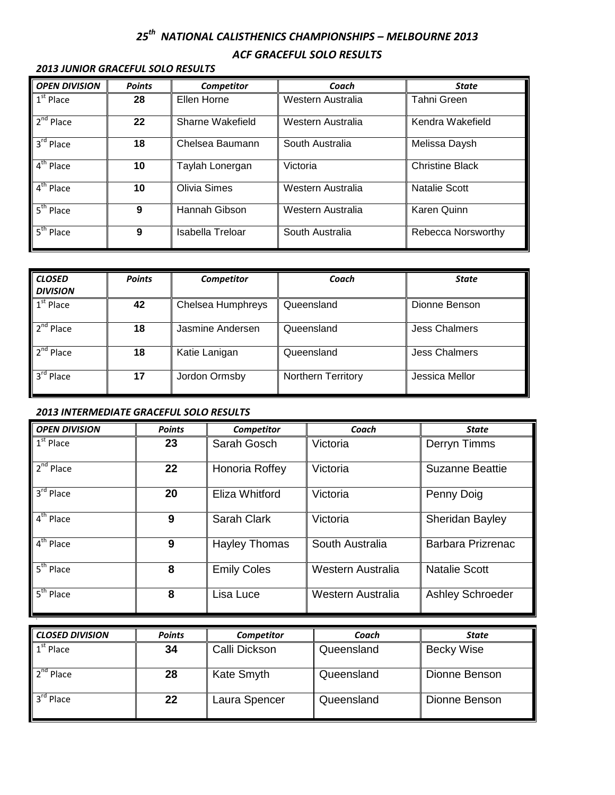## *25 th NATIONAL CALISTHENICS CHAMPIONSHIPS – MELBOURNE 2013 ACF GRACEFUL SOLO RESULTS*

| <b>OPEN DIVISION</b>  | <b>Points</b>                | <b>Competitor</b>   | Coach             | State                  |
|-----------------------|------------------------------|---------------------|-------------------|------------------------|
| $1st$ Place           | 28                           | Ellen Horne         | Western Australia | Tahni Green            |
| 2 <sup>nd</sup> Place | 22                           | Sharne Wakefield    | Western Australia | Kendra Wakefield       |
| 3 <sup>rd</sup> Place | 18                           | Chelsea Baumann     | South Australia   | Melissa Daysh          |
| $4th$ Place           | 10                           | Taylah Lonergan     | Victoria          | <b>Christine Black</b> |
| 4 <sup>th</sup> Place | 10                           | <b>Olivia Simes</b> | Western Australia | <b>Natalie Scott</b>   |
| 5 <sup>th</sup> Place | 9                            | Hannah Gibson       | Western Australia | Karen Quinn            |
| 5 <sup>th</sup> Place | 9<br><b>Isabella Treloar</b> |                     | South Australia   | Rebecca Norsworthy     |

## *2013 JUNIOR GRACEFUL SOLO RESULTS*

| <b>CLOSED</b><br><b>DIVISION</b> | <b>Points</b> | Competitor        | Coach                     | <b>State</b>         |
|----------------------------------|---------------|-------------------|---------------------------|----------------------|
| $1st$ Place                      | 42            | Chelsea Humphreys | Queensland                | Dionne Benson        |
| $2nd$ Place                      | 18            | Jasmine Andersen  | Queensland                | <b>Jess Chalmers</b> |
| $2nd$ Place                      | 18            | Katie Lanigan     | Queensland                | <b>Jess Chalmers</b> |
| $3rd$ Place                      | 17            | Jordon Ormsby     | <b>Northern Territory</b> | Jessica Mellor       |

## *2013 INTERMEDIATE GRACEFUL SOLO RESULTS*

s

| <b>OPEN DIVISION</b>             | <b>Points</b> | Competitor           | Coach             | State                    |
|----------------------------------|---------------|----------------------|-------------------|--------------------------|
| $1st$ Place                      | 23            | Sarah Gosch          | Victoria          | Derryn Timms             |
| 2 <sup>nd</sup> Place            | 22            | Honoria Roffey       | Victoria          | <b>Suzanne Beattie</b>   |
| $3rd$ Place                      | 20            | Eliza Whitford       | Victoria          | Penny Doig               |
| $4th$ Place                      | 9             | <b>Sarah Clark</b>   | Victoria          | Sheridan Bayley          |
| $4th$ Place                      | 9             | <b>Hayley Thomas</b> | South Australia   | <b>Barbara Prizrenac</b> |
| $5th$ Place                      | 8             | <b>Emily Coles</b>   | Western Australia | <b>Natalie Scott</b>     |
| $\overline{5}^{\text{th}}$ Place | 8             | Lisa Luce            | Western Australia | <b>Ashley Schroeder</b>  |

| <b>CLOSED DIVISION</b> | <b>Points</b> | <b>Competitor</b> | Coach      | <b>State</b>      |
|------------------------|---------------|-------------------|------------|-------------------|
| $1st$ Place            | 34            | Calli Dickson     | Queensland | <b>Becky Wise</b> |
| $2nd$ Place            | 28            | Kate Smyth        | Queensland | Dionne Benson     |
| 3 <sup>rd</sup> Place  | 22            | Laura Spencer     | Queensland | Dionne Benson     |